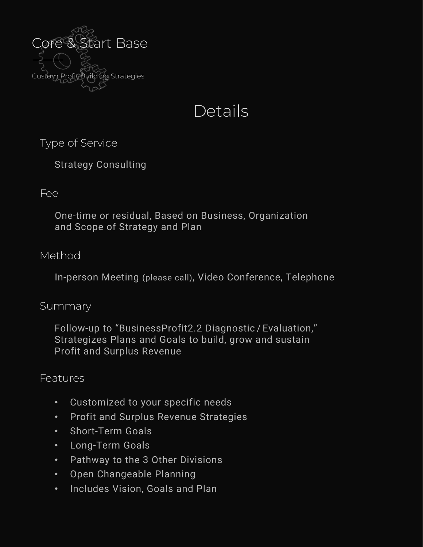

# **Details**

Type of Service

Strategy Consulting

### Fee

One-time or residual, Based on Business, Organization and Scope of Strategy and Plan

# Method

In-person Meeting (please call), Video Conference, Telephone

### Summary

Follow-up to "BusinessProfit2.2 Diagnostic / Evaluation," Strategizes Plans and Goals to build, grow and sustain Profit and Surplus Revenue

# Features

- Customized to your specific needs
- Profit and Surplus Revenue Strategies
- Short-Term Goals
- Long-Term Goals
- Pathway to the 3 Other Divisions
- Open Changeable Planning
- Includes Vision, Goals and Plan